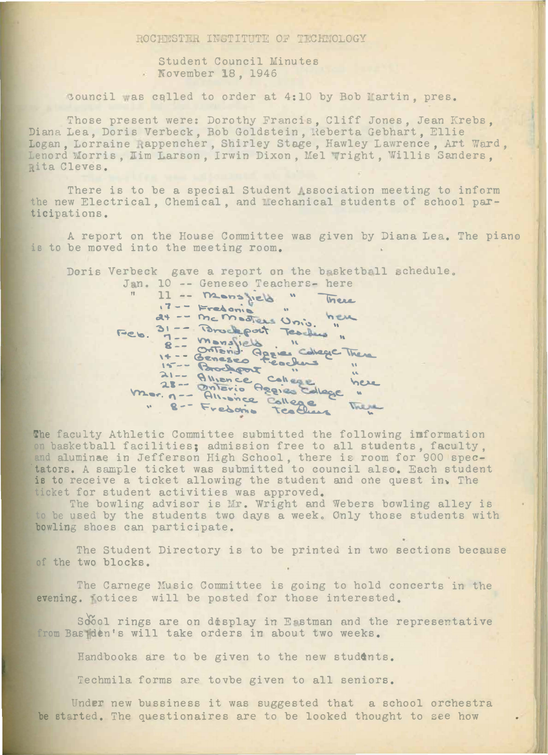LOC STU INSTITUTE OF TECHNOLOGY

Student Council Minutes . November 18, 1946

Council was called to order at 4:10 by Bob Martin, pres.

Those present were: Dorothy Francis, Cliff Jones, Jean Krebs,<br>Diana Lea, Doris Verbeck, Bob Goldstein, Reberta Gebhart, Ellie Logan, Lorraine Rappencher, Shirley Stage, Hawley Lawrence, Art Ward, Lenord Morris, Jim Larson, Irwin Dixon, Mel Wright, Willis Sanders, Rita Cleves.

There is to be a special Student association meeting to inform the new Electrical, Chemical, and Mechanical students of school participations.

A report on the House Committee was given by Diana Lea. The piano is to be moved into the meeting room.

Doris Verbeck gave a report on the basketball schedule. Jan. 10 -- Geneseo Teachers- here

11 -- monsfield There 17 -- Fredonie " Unio. he here Feb. 31 -- Brockpat Teslies" 31 -- Word pour l'alege Treme<br>8 -- Ontonie Aggie Colege Treme Mor. n -- Alliance College me here " 8 -- Fredorio Teachers There

The faculty Athletic Committee submitted the following information on basketball facilities; admission free to all students, faculty. and aluminae in Jefferson High School, there is room for 900 spec-<br>tators. A sample ticket was submitted to council also. Each student is to receive a ticket allowing the student and one quest in. The ticket for student activities was approved.

The bowling advisor is Mr. Wright and Webers bowling alley is to be used by the students two days a week. Only those students with bowling shoes can participate.

The Student Directory is to be printed in two sections because of the two blocks.

The Carnege Music Committee is going to hold concerts in the evening. Totices will be posted for those interested.

Soool rings are on display in Eastman and the representative from Basiden's will take orders in about two weeks.

Handbooks are to be given to the new students.

Techmila forms are tovbe given to all seniors.

Under new bussiness it was suggested that a school orchestra be started. The questionaires are to be looked thought to see how